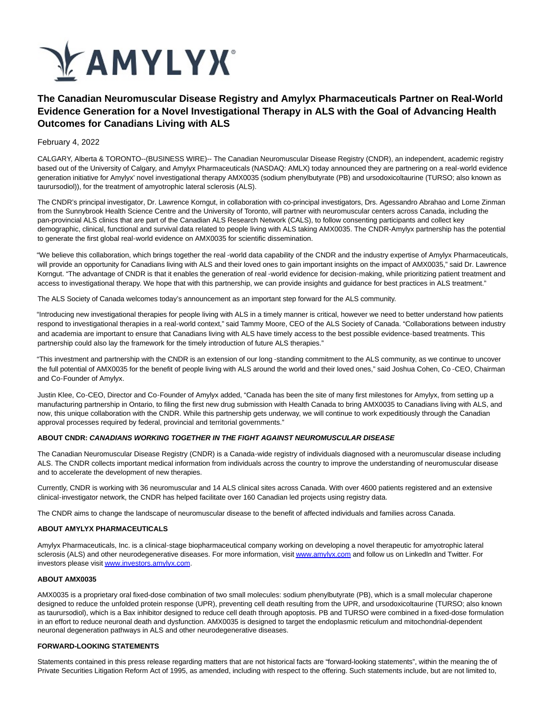

# **The Canadian Neuromuscular Disease Registry and Amylyx Pharmaceuticals Partner on Real-World Evidence Generation for a Novel Investigational Therapy in ALS with the Goal of Advancing Health Outcomes for Canadians Living with ALS**

### February 4, 2022

CALGARY, Alberta & TORONTO--(BUSINESS WIRE)-- The Canadian Neuromuscular Disease Registry (CNDR), an independent, academic registry based out of the University of Calgary, and Amylyx Pharmaceuticals (NASDAQ: AMLX) today announced they are partnering on a real-world evidence generation initiative for Amylyx' novel investigational therapy AMX0035 (sodium phenylbutyrate (PB) and ursodoxicoltaurine (TURSO; also known as taurursodiol)), for the treatment of amyotrophic lateral sclerosis (ALS).

The CNDR's principal investigator, Dr. Lawrence Korngut, in collaboration with co-principal investigators, Drs. Agessandro Abrahao and Lorne Zinman from the Sunnybrook Health Science Centre and the University of Toronto, will partner with neuromuscular centers across Canada, including the pan-provincial ALS clinics that are part of the Canadian ALS Research Network (CALS), to follow consenting participants and collect key demographic, clinical, functional and survival data related to people living with ALS taking AMX0035. The CNDR-Amylyx partnership has the potential to generate the first global real-world evidence on AMX0035 for scientific dissemination.

"We believe this collaboration, which brings together the real-world data capability of the CNDR and the industry expertise of Amylyx Pharmaceuticals, will provide an opportunity for Canadians living with ALS and their loved ones to gain important insights on the impact of AMX0035," said Dr. Lawrence Korngut. "The advantage of CNDR is that it enables the generation of real-world evidence for decision-making, while prioritizing patient treatment and access to investigational therapy. We hope that with this partnership, we can provide insights and guidance for best practices in ALS treatment."

The ALS Society of Canada welcomes today's announcement as an important step forward for the ALS community.

"Introducing new investigational therapies for people living with ALS in a timely manner is critical, however we need to better understand how patients respond to investigational therapies in a real-world context," said Tammy Moore, CEO of the ALS Society of Canada. "Collaborations between industry and academia are important to ensure that Canadians living with ALS have timely access to the best possible evidence-based treatments. This partnership could also lay the framework for the timely introduction of future ALS therapies."

"This investment and partnership with the CNDR is an extension of our long -standing commitment to the ALS community, as we continue to uncover the full potential of AMX0035 for the benefit of people living with ALS around the world and their loved ones," said Joshua Cohen, Co -CEO, Chairman and Co-Founder of Amylyx.

Justin Klee, Co-CEO, Director and Co-Founder of Amylyx added, "Canada has been the site of many first milestones for Amylyx, from setting up a manufacturing partnership in Ontario, to filing the first new drug submission with Health Canada to bring AMX0035 to Canadians living with ALS, and now, this unique collaboration with the CNDR. While this partnership gets underway, we will continue to work expeditiously through the Canadian approval processes required by federal, provincial and territorial governments."

#### **ABOUT CNDR: CANADIANS WORKING TOGETHER IN THE FIGHT AGAINST NEUROMUSCULAR DISEASE**

The Canadian Neuromuscular Disease Registry (CNDR) is a Canada-wide registry of individuals diagnosed with a neuromuscular disease including ALS. The CNDR collects important medical information from individuals across the country to improve the understanding of neuromuscular disease and to accelerate the development of new therapies.

Currently, CNDR is working with 36 neuromuscular and 14 ALS clinical sites across Canada. With over 4600 patients registered and an extensive clinical-investigator network, the CNDR has helped facilitate over 160 Canadian led projects using registry data.

The CNDR aims to change the landscape of neuromuscular disease to the benefit of affected individuals and families across Canada.

#### **ABOUT AMYLYX PHARMACEUTICALS**

Amylyx Pharmaceuticals, Inc. is a clinical-stage biopharmaceutical company working on developing a novel therapeutic for amyotrophic lateral sclerosis (ALS) and other neurodegenerative diseases. For more information, visi[t www.amylyx.com a](https://cts.businesswire.com/ct/CT?id=smartlink&url=http%3A%2F%2Fwww.amylyx.com&esheet=52573321&newsitemid=20220203005226&lan=en-US&anchor=www.amylyx.com&index=1&md5=0d5f3252c9dd6d73943249dead7019cb)nd follow us on LinkedIn and Twitter. For investors please visi[t www.investors.amylyx.com.](https://cts.businesswire.com/ct/CT?id=smartlink&url=https%3A%2F%2Furldefense.proofpoint.com%2Fv2%2Furl%3Fu%3Dhttps-3A__www.investors.amylyx.com_%26d%3DDwMGaQ%26c%3DgOrgfQB8xVH7F0lP7MQhi8CyVXMBvYqNyP3LuSSb8Lw%26r%3DqEfwei-Cg6DkJeEDVkip096MntE48QP3jtOR3apEkPs%26m%3DZJ7JXmieBNaoOeO7cPDeRqV3S9Pu-Yt5xFAp5m87ihuiau3mJqEpxSVzammK3Zow%26s%3DUvVAVzVXJ_rDmpkGJh0NBuUZUtE0--VW5R31BLdAYvs%26e%3D&esheet=52573321&newsitemid=20220203005226&lan=en-US&anchor=www.investors.amylyx.com&index=2&md5=167c2fbb57f4f581b76cb42de0e9f268)

#### **ABOUT AMX0035**

AMX0035 is a proprietary oral fixed-dose combination of two small molecules: sodium phenylbutyrate (PB), which is a small molecular chaperone designed to reduce the unfolded protein response (UPR), preventing cell death resulting from the UPR, and ursodoxicoltaurine (TURSO; also known as taurursodiol), which is a Bax inhibitor designed to reduce cell death through apoptosis. PB and TURSO were combined in a fixed-dose formulation in an effort to reduce neuronal death and dysfunction. AMX0035 is designed to target the endoplasmic reticulum and mitochondrial-dependent neuronal degeneration pathways in ALS and other neurodegenerative diseases.

#### **FORWARD-LOOKING STATEMENTS**

Statements contained in this press release regarding matters that are not historical facts are "forward-looking statements", within the meaning the of Private Securities Litigation Reform Act of 1995, as amended, including with respect to the offering. Such statements include, but are not limited to,